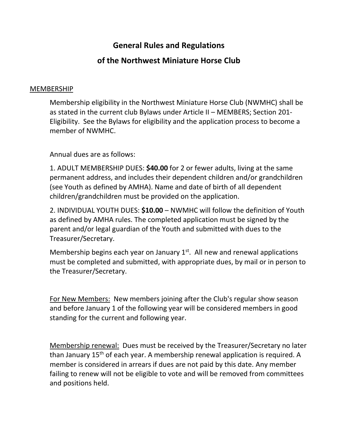# **General Rules and Regulations**

# **of the Northwest Miniature Horse Club**

#### MEMBERSHIP

Membership eligibility in the Northwest Miniature Horse Club (NWMHC) shall be as stated in the current club Bylaws under Article II – MEMBERS; Section 201- Eligibility. See the Bylaws for eligibility and the application process to become a member of NWMHC.

Annual dues are as follows:

1. ADULT MEMBERSHIP DUES: **\$40.00** for 2 or fewer adults, living at the same permanent address, and includes their dependent children and/or grandchildren (see Youth as defined by AMHA). Name and date of birth of all dependent children/grandchildren must be provided on the application.

2. INDIVIDUAL YOUTH DUES: **\$10.00** – NWMHC will follow the definition of Youth as defined by AMHA rules. The completed application must be signed by the parent and/or legal guardian of the Youth and submitted with dues to the Treasurer/Secretary.

Membership begins each year on January  $1<sup>st</sup>$ . All new and renewal applications must be completed and submitted, with appropriate dues, by mail or in person to the Treasurer/Secretary.

For New Members: New members joining after the Club's regular show season and before January 1 of the following year will be considered members in good standing for the current and following year.

Membership renewal: Dues must be received by the Treasurer/Secretary no later than January 15<sup>th</sup> of each year. A membership renewal application is required. A member is considered in arrears if dues are not paid by this date. Any member failing to renew will not be eligible to vote and will be removed from committees and positions held.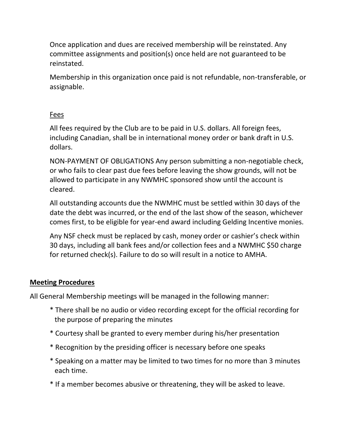Once application and dues are received membership will be reinstated. Any committee assignments and position(s) once held are not guaranteed to be reinstated.

Membership in this organization once paid is not refundable, non-transferable, or assignable.

### Fees

All fees required by the Club are to be paid in U.S. dollars. All foreign fees, including Canadian, shall be in international money order or bank draft in U.S. dollars.

NON-PAYMENT OF OBLIGATIONS Any person submitting a non-negotiable check, or who fails to clear past due fees before leaving the show grounds, will not be allowed to participate in any NWMHC sponsored show until the account is cleared.

All outstanding accounts due the NWMHC must be settled within 30 days of the date the debt was incurred, or the end of the last show of the season, whichever comes first, to be eligible for year-end award including Gelding Incentive monies.

Any NSF check must be replaced by cash, money order or cashier's check within 30 days, including all bank fees and/or collection fees and a NWMHC \$50 charge for returned check(s). Failure to do so will result in a notice to AMHA.

## **Meeting Procedures**

All General Membership meetings will be managed in the following manner:

- \* There shall be no audio or video recording except for the official recording for the purpose of preparing the minutes
- \* Courtesy shall be granted to every member during his/her presentation
- \* Recognition by the presiding officer is necessary before one speaks
- \* Speaking on a matter may be limited to two times for no more than 3 minutes each time.
- \* If a member becomes abusive or threatening, they will be asked to leave.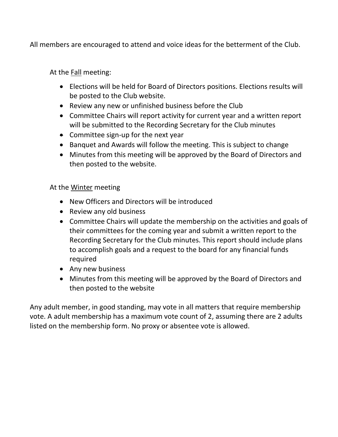All members are encouraged to attend and voice ideas for the betterment of the Club.

At the **Fall** meeting:

- Elections will be held for Board of Directors positions. Elections results will be posted to the Club website.
- Review any new or unfinished business before the Club
- Committee Chairs will report activity for current year and a written report will be submitted to the Recording Secretary for the Club minutes
- Committee sign-up for the next year
- Banquet and Awards will follow the meeting. This is subject to change
- Minutes from this meeting will be approved by the Board of Directors and then posted to the website.

At the Winter meeting

- New Officers and Directors will be introduced
- Review any old business
- Committee Chairs will update the membership on the activities and goals of their committees for the coming year and submit a written report to the Recording Secretary for the Club minutes. This report should include plans to accomplish goals and a request to the board for any financial funds required
- Any new business
- Minutes from this meeting will be approved by the Board of Directors and then posted to the website

Any adult member, in good standing, may vote in all matters that require membership vote. A adult membership has a maximum vote count of 2, assuming there are 2 adults listed on the membership form. No proxy or absentee vote is allowed.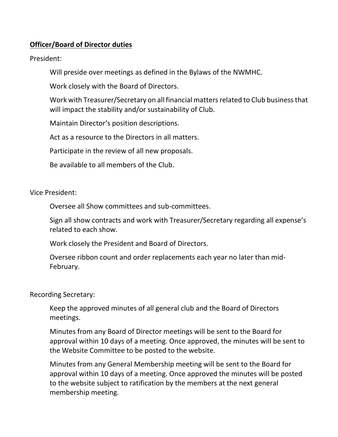### **Officer/Board of Director duties**

President:

Will preside over meetings as defined in the Bylaws of the NWMHC.

Work closely with the Board of Directors.

Work with Treasurer/Secretary on all financial matters related to Club business that will impact the stability and/or sustainability of Club.

Maintain Director's position descriptions.

Act as a resource to the Directors in all matters.

Participate in the review of all new proposals.

Be available to all members of the Club.

Vice President:

Oversee all Show committees and sub-committees.

Sign all show contracts and work with Treasurer/Secretary regarding all expense's related to each show.

Work closely the President and Board of Directors.

Oversee ribbon count and order replacements each year no later than mid-February.

Recording Secretary:

Keep the approved minutes of all general club and the Board of Directors meetings.

Minutes from any Board of Director meetings will be sent to the Board for approval within 10 days of a meeting. Once approved, the minutes will be sent to the Website Committee to be posted to the website.

Minutes from any General Membership meeting will be sent to the Board for approval within 10 days of a meeting. Once approved the minutes will be posted to the website subject to ratification by the members at the next general membership meeting.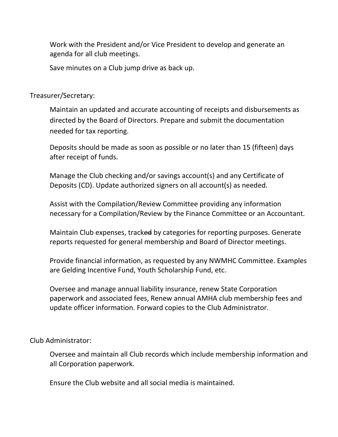Work with the President and/or Vice President to develop and generate an agenda for all club meetings.

Save minutes on a Club jump drive as back up.

Treasurer/Secretary:

Maintain an updated and accurate accounting of receipts and disbursements as directed by the Board of Directors. Prepare and submit the documentation needed for tax reporting.

Deposits should be made as soon as possible or no later than 15 (fifteen) days after receipt of funds.

Manage the Club checking and/or savings account(s) and any Certificate of Deposits (CD). Update authorized signers on all account(s) as needed.

Assist with the Compilation/Review Committee providing any information necessary for a Compilation/Review by the Finance Committee or an Accountant.

Maintain Club expenses, tracked by categories for reporting purposes. Generate reports requested for general membership and Board of Director meetings.

Provide financial information, as requested by any NWMHC Committee. Examples are Gelding Incentive Fund, Youth Scholarship Fund, etc.

Oversee and manage annual liability insurance, renew State Corporation paperwork and associated fees, Renew annual AMHA club membership fees and update officer information. Forward copies to the Club Administrator.

Club Administrator:

Oversee and maintain all Club records which include membership information and all Corporation paperwork.

Ensure the Club website and all social media is maintained.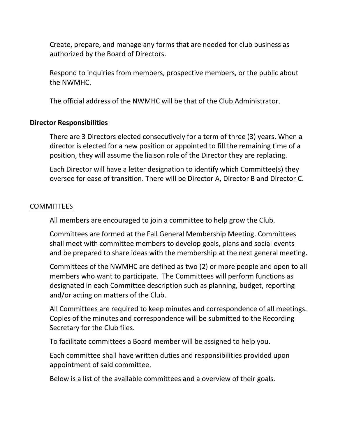Create, prepare, and manage any forms that are needed for club business as authorized by the Board of Directors.

Respond to inquiries from members, prospective members, or the public about the NWMHC.

The official address of the NWMHC will be that of the Club Administrator.

### **Director Responsibilities**

There are 3 Directors elected consecutively for a term of three (3) years. When a director is elected for a new position or appointed to fill the remaining time of a position, they will assume the liaison role of the Director they are replacing.

Each Director will have a letter designation to identify which Committee(s) they oversee for ease of transition. There will be Director A, Director B and Director C.

#### COMMITTEES

All members are encouraged to join a committee to help grow the Club.

Committees are formed at the Fall General Membership Meeting. Committees shall meet with committee members to develop goals, plans and social events and be prepared to share ideas with the membership at the next general meeting.

Committees of the NWMHC are defined as two (2) or more people and open to all members who want to participate. The Committees will perform functions as designated in each Committee description such as planning, budget, reporting and/or acting on matters of the Club.

All Committees are required to keep minutes and correspondence of all meetings. Copies of the minutes and correspondence will be submitted to the Recording Secretary for the Club files.

To facilitate committees a Board member will be assigned to help you.

Each committee shall have written duties and responsibilities provided upon appointment of said committee.

Below is a list of the available committees and a overview of their goals.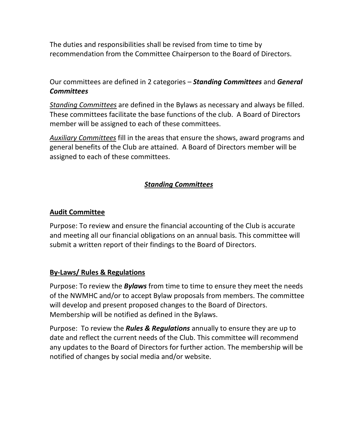The duties and responsibilities shall be revised from time to time by recommendation from the Committee Chairperson to the Board of Directors.

Our committees are defined in 2 categories – *Standing Committees* and *General Committees* 

*Standing Committees* are defined in the Bylaws as necessary and always be filled. These committees facilitate the base functions of the club. A Board of Directors member will be assigned to each of these committees.

*Auxiliary Committees* fill in the areas that ensure the shows, award programs and general benefits of the Club are attained. A Board of Directors member will be assigned to each of these committees.

## *Standing Committees*

### **Audit Committee**

Purpose: To review and ensure the financial accounting of the Club is accurate and meeting all our financial obligations on an annual basis. This committee will submit a written report of their findings to the Board of Directors.

### **By-Laws/ Rules & Regulations**

Purpose: To review the *Bylaws* from time to time to ensure they meet the needs of the NWMHC and/or to accept Bylaw proposals from members. The committee will develop and present proposed changes to the Board of Directors. Membership will be notified as defined in the Bylaws.

Purpose: To review the *Rules & Regulations* annually to ensure they are up to date and reflect the current needs of the Club. This committee will recommend any updates to the Board of Directors for further action. The membership will be notified of changes by social media and/or website.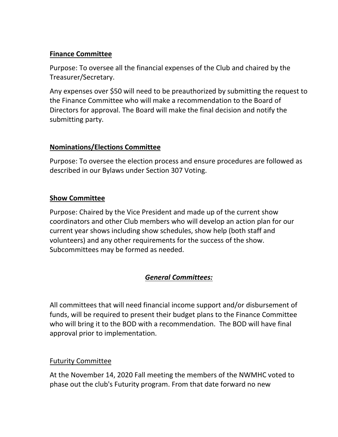## **Finance Committee**

Purpose: To oversee all the financial expenses of the Club and chaired by the Treasurer/Secretary.

Any expenses over \$50 will need to be preauthorized by submitting the request to the Finance Committee who will make a recommendation to the Board of Directors for approval. The Board will make the final decision and notify the submitting party.

## **Nominations/Elections Committee**

Purpose: To oversee the election process and ensure procedures are followed as described in our Bylaws under Section 307 Voting.

## **Show Committee**

Purpose: Chaired by the Vice President and made up of the current show coordinators and other Club members who will develop an action plan for our current year shows including show schedules, show help (both staff and volunteers) and any other requirements for the success of the show. Subcommittees may be formed as needed.

# *General Committees:*

All committees that will need financial income support and/or disbursement of funds, will be required to present their budget plans to the Finance Committee who will bring it to the BOD with a recommendation. The BOD will have final approval prior to implementation.

## Futurity Committee

At the November 14, 2020 Fall meeting the members of the NWMHC voted to phase out the club's Futurity program. From that date forward no new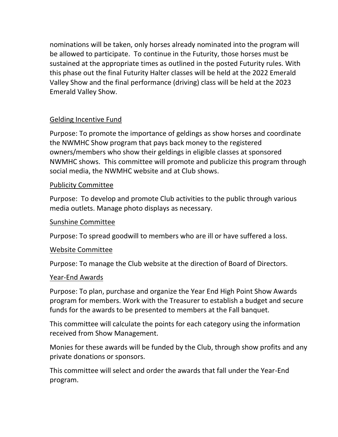nominations will be taken, only horses already nominated into the program will be allowed to participate. To continue in the Futurity, those horses must be sustained at the appropriate times as outlined in the posted Futurity rules. With this phase out the final Futurity Halter classes will be held at the 2022 Emerald Valley Show and the final performance (driving) class will be held at the 2023 Emerald Valley Show.

### Gelding Incentive Fund

Purpose: To promote the importance of geldings as show horses and coordinate the NWMHC Show program that pays back money to the registered owners/members who show their geldings in eligible classes at sponsored NWMHC shows. This committee will promote and publicize this program through social media, the NWMHC website and at Club shows.

### Publicity Committee

Purpose: To develop and promote Club activities to the public through various media outlets. Manage photo displays as necessary.

#### Sunshine Committee

Purpose: To spread goodwill to members who are ill or have suffered a loss.

### Website Committee

Purpose: To manage the Club website at the direction of Board of Directors.

#### Year-End Awards

Purpose: To plan, purchase and organize the Year End High Point Show Awards program for members. Work with the Treasurer to establish a budget and secure funds for the awards to be presented to members at the Fall banquet.

This committee will calculate the points for each category using the information received from Show Management.

Monies for these awards will be funded by the Club, through show profits and any private donations or sponsors.

This committee will select and order the awards that fall under the Year-End program.